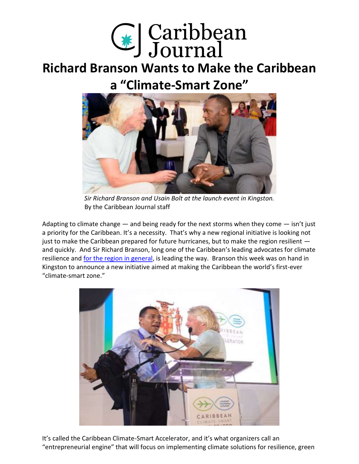

## **[Richard Branson Wants to Make the Caribbean](https://www.caribjournal.com/2018/08/10/richard-branson-wants-caribbean-climate-smart-zone/)  a "Climate-[Smart Zone"](https://www.caribjournal.com/2018/08/10/richard-branson-wants-caribbean-climate-smart-zone/)**



*Sir Richard Branson and Usain Bolt at the launch event in Kingston.* By the Caribbean Journal staff

Adapting to climate change  $-$  and being ready for the next storms when they come  $-$  isn't just a priority for the Caribbean. It's a necessity. That's why a new regional initiative is looking not just to make the Caribbean prepared for future hurricanes, but to make the region resilient and quickly. And Sir Richard Branson, long one of the Caribbean's leading advocates for climate resilience and [for the region in general,](https://www.caribjournal.com/2017/10/17/richard-branson-developing-caribbean-marshall-plan/) is leading the way. Branson this week was on hand in Kingston to announce a new initiative aimed at making the Caribbean the world's first-ever "climate-smart zone."



It's called the Caribbean Climate-Smart Accelerator, and it's what organizers call an "entrepreneurial engine" that will focus on implementing climate solutions for resilience, green